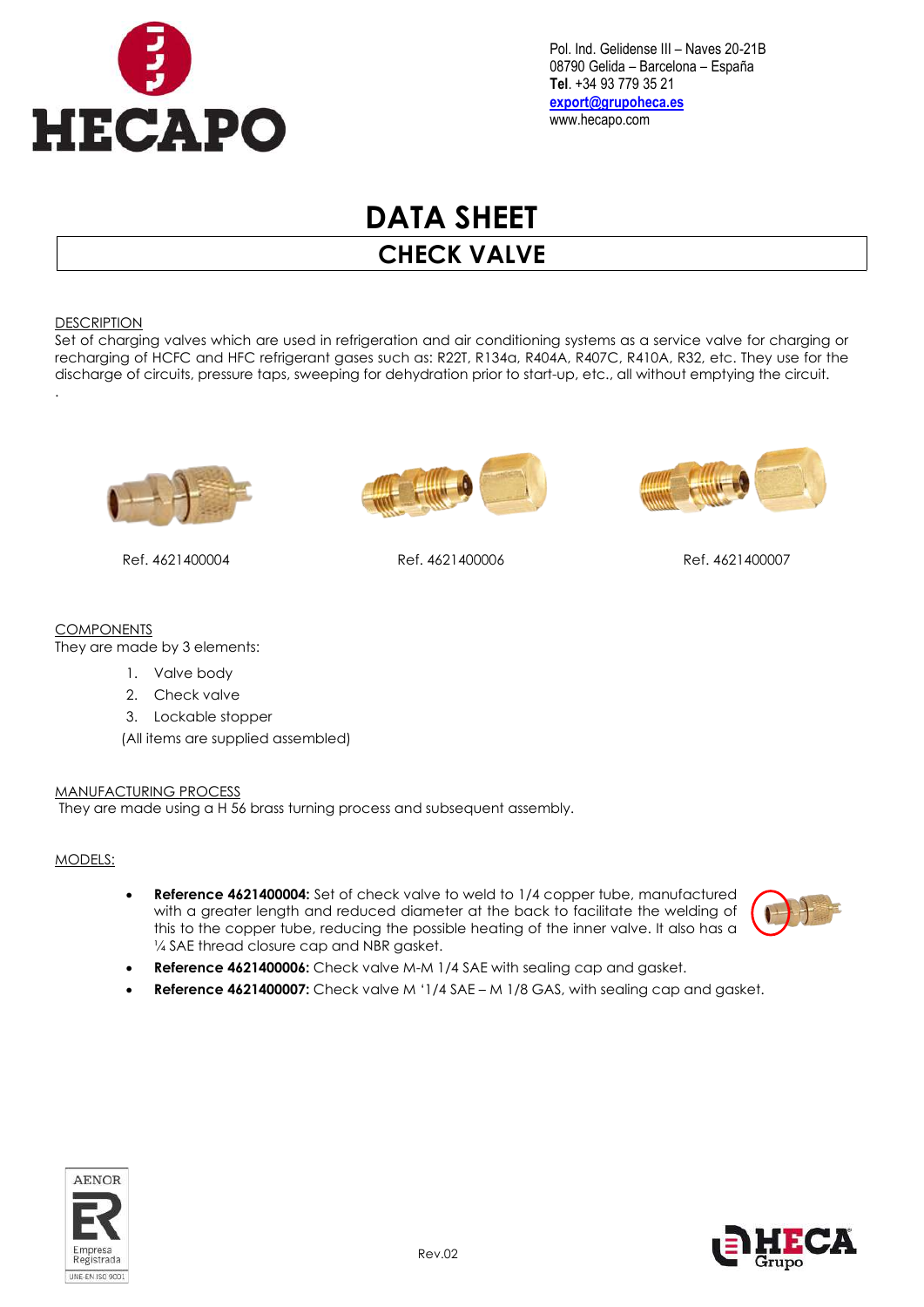

Pol. Ind. Gelidense III – Naves 20-21B 08790 Gelida – Barcelona – España Tel. +34 93 779 35 21 export@grupoheca.es www.hecapo.com

# DATA SHEET

CHECK VALVE

#### **DESCRIPTION**

Set of charging valves which are used in refrigeration and air conditioning systems as a service valve for charging or recharging of HCFC and HFC refrigerant gases such as: R22T, R134a, R404A, R407C, R410A, R32, etc. They use for the discharge of circuits, pressure taps, sweeping for dehydration prior to start-up, etc., all without emptying the circuit. .



Ref. 4621400004 Ref. 4621400006 Ref. 4621400007





## **COMPONENTS**

They are made by 3 elements:

- 1. Valve body
- 2. Check valve
- 3. Lockable stopper

(All items are supplied assembled)

#### MANUFACTURING PROCESS

They are made using a H 56 brass turning process and subsequent assembly.

#### MODELS:

 Reference 4621400004: Set of check valve to weld to 1/4 copper tube, manufactured with a greater length and reduced diameter at the back to facilitate the welding of this to the copper tube, reducing the possible heating of the inner valve. It also has a 1/4 SAE thread closure cap and NBR gasket.



- Reference 4621400006: Check valve M-M 1/4 SAE with sealing cap and gasket.
- Reference 4621400007: Check valve M '1/4 SAE M 1/8 GAS, with sealing cap and gasket.